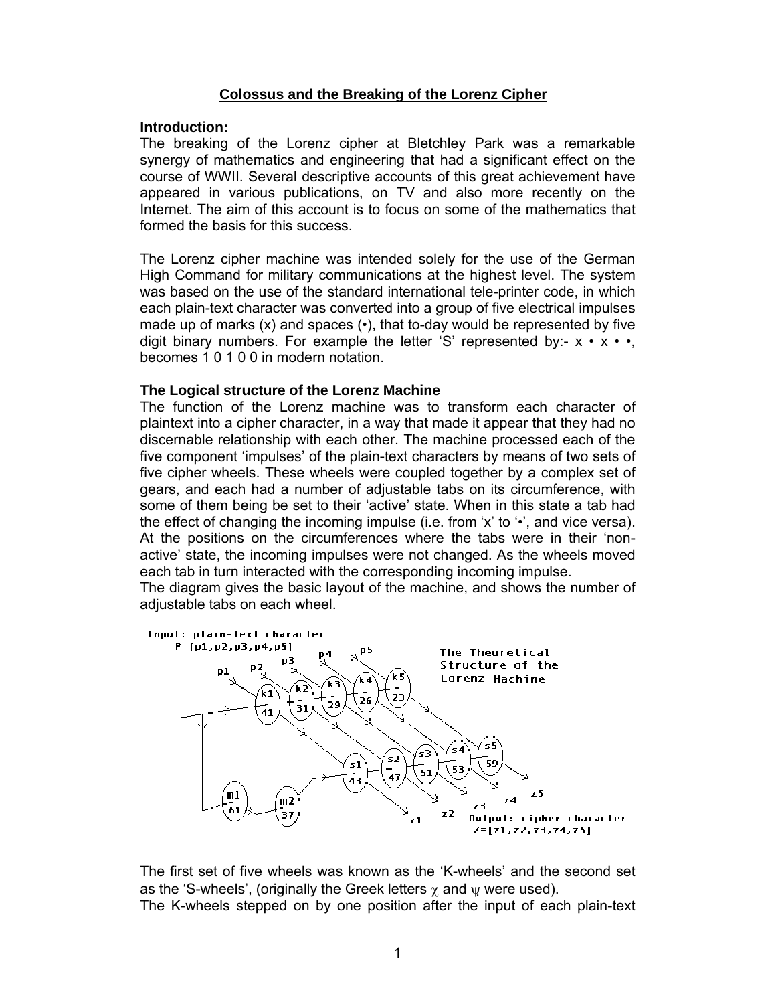## **Colossus and the Breaking of the Lorenz Cipher**

### **Introduction:**

The breaking of the Lorenz cipher at Bletchley Park was a remarkable synergy of mathematics and engineering that had a significant effect on the course of WWII. Several descriptive accounts of this great achievement have appeared in various publications, on TV and also more recently on the Internet. The aim of this account is to focus on some of the mathematics that formed the basis for this success.

The Lorenz cipher machine was intended solely for the use of the German High Command for military communications at the highest level. The system was based on the use of the standard international tele-printer code, in which each plain-text character was converted into a group of five electrical impulses made up of marks  $(x)$  and spaces  $(\cdot)$ , that to-day would be represented by five digit binary numbers. For example the letter 'S' represented by:-  $x \cdot x \cdot y$ , becomes 1 0 1 0 0 in modern notation.

## **The Logical structure of the Lorenz Machine**

The function of the Lorenz machine was to transform each character of plaintext into a cipher character, in a way that made it appear that they had no discernable relationship with each other. The machine processed each of the five component 'impulses' of the plain-text characters by means of two sets of five cipher wheels. These wheels were coupled together by a complex set of gears, and each had a number of adjustable tabs on its circumference, with some of them being be set to their 'active' state. When in this state a tab had the effect of changing the incoming impulse (i.e. from  $x'$  to  $\cdot$ , and vice versa). At the positions on the circumferences where the tabs were in their 'nonactive' state, the incoming impulses were not changed. As the wheels moved each tab in turn interacted with the corresponding incoming impulse.

The diagram gives the basic layout of the machine, and shows the number of adjustable tabs on each wheel.



The first set of five wheels was known as the 'K-wheels' and the second set as the 'S-wheels', (originally the Greek letters  $\chi$  and  $\psi$  were used). The K-wheels stepped on by one position after the input of each plain-text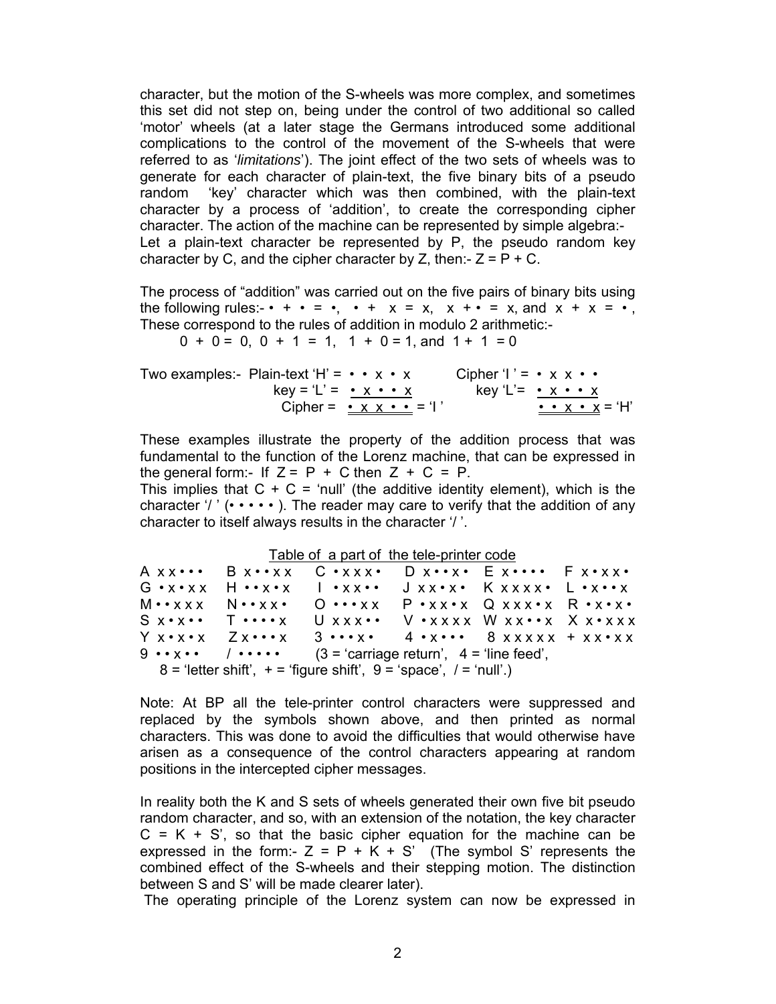character, but the motion of the S-wheels was more complex, and sometimes this set did not step on, being under the control of two additional so called ëmotorí wheels (at a later stage the Germans introduced some additional complications to the control of the movement of the S-wheels that were referred to as 'limitations'). The joint effect of the two sets of wheels was to generate for each character of plain-text, the five binary bits of a pseudo random 'key' character which was then combined, with the plain-text character by a process of 'addition', to create the corresponding cipher character. The action of the machine can be represented by simple algebra:- Let a plain-text character be represented by P, the pseudo random key character by C, and the cipher character by Z, then:-  $Z = P + C$ .

The process of "addition" was carried out on the five pairs of binary bits using the following rules:-  $\cdot + \cdot = \cdot$ ,  $\cdot + \cdot = x$ ,  $x \cdot + \cdot = x$ , and  $x \cdot + \cdot = \cdot$ , These correspond to the rules of addition in modulo 2 arithmetic:-

 $0 + 0 = 0$ ,  $0 + 1 = 1$ ,  $1 + 0 = 1$ , and  $1 + 1 = 0$ 

Two examples:- Plain-text 'H' =  $\cdot \cdot x \cdot x$  Cipher 'I' =  $\cdot x \cdot x \cdot \cdot$ key = 'L' =  $\cdot x \cdot x$ <br>Cipher =  $\cdot x \cdot x \cdot y =$  'l' key 'L'=  $\frac{6x + x - x}{3x^2 + x^2}$  = 'H'

These examples illustrate the property of the addition process that was fundamental to the function of the Lorenz machine, that can be expressed in the general form:- If  $Z = P + C$  then  $Z + C = P$ .

This implies that  $C + C = \text{full}$  (the additive identity element), which is the character '/  $\cdot$  ( $\cdot \cdot \cdot \cdot$ ). The reader may care to verify that the addition of any character to itself always results in the character '/'.

Table of a part of the tele-printer code

|                                                                           |                                                                                          |  | A xx · · · B x · · x x C · x x x · D x · · x · E x · · · · F x · x x ·                                                          |  |  |  |  |
|---------------------------------------------------------------------------|------------------------------------------------------------------------------------------|--|---------------------------------------------------------------------------------------------------------------------------------|--|--|--|--|
|                                                                           |                                                                                          |  |                                                                                                                                 |  |  |  |  |
|                                                                           |                                                                                          |  | $M \cdot xxx$ $N \cdot xxx$ $Q \cdot xxx$ $P \cdot xxx$ $Q$ $xxx \cdot x$ $R \cdot x \cdot x$                                   |  |  |  |  |
|                                                                           |                                                                                          |  | S x · x · · T · · · · x U x x x · · V · x x x x W x x · · x X * · x x *                                                         |  |  |  |  |
|                                                                           |                                                                                          |  | $Y x \cdot x \cdot x$ $Z x \cdot \cdot \cdot x$ $3 \cdot \cdot \cdot x \cdot 4 \cdot x \cdot \cdot 8 x x x x x + x x \cdot x x$ |  |  |  |  |
|                                                                           | $9 \cdot x \cdot y \cdot$ / $\cdot \cdot \cdot$ (3 = 'carriage return', 4 = 'line feed', |  |                                                                                                                                 |  |  |  |  |
| $8 =$ 'letter shift', $+ =$ 'figure shift', $9 =$ 'space', $/ =$ 'null'.) |                                                                                          |  |                                                                                                                                 |  |  |  |  |

Note: At BP all the tele-printer control characters were suppressed and replaced by the symbols shown above, and then printed as normal characters. This was done to avoid the difficulties that would otherwise have arisen as a consequence of the control characters appearing at random positions in the intercepted cipher messages.

In reality both the K and S sets of wheels generated their own five bit pseudo random character, and so, with an extension of the notation, the key character  $C = K + S'$ , so that the basic cipher equation for the machine can be expressed in the form:-  $Z = P + K + S'$  (The symbol S' represents the combined effect of the S-wheels and their stepping motion. The distinction between S and S' will be made clearer later).

The operating principle of the Lorenz system can now be expressed in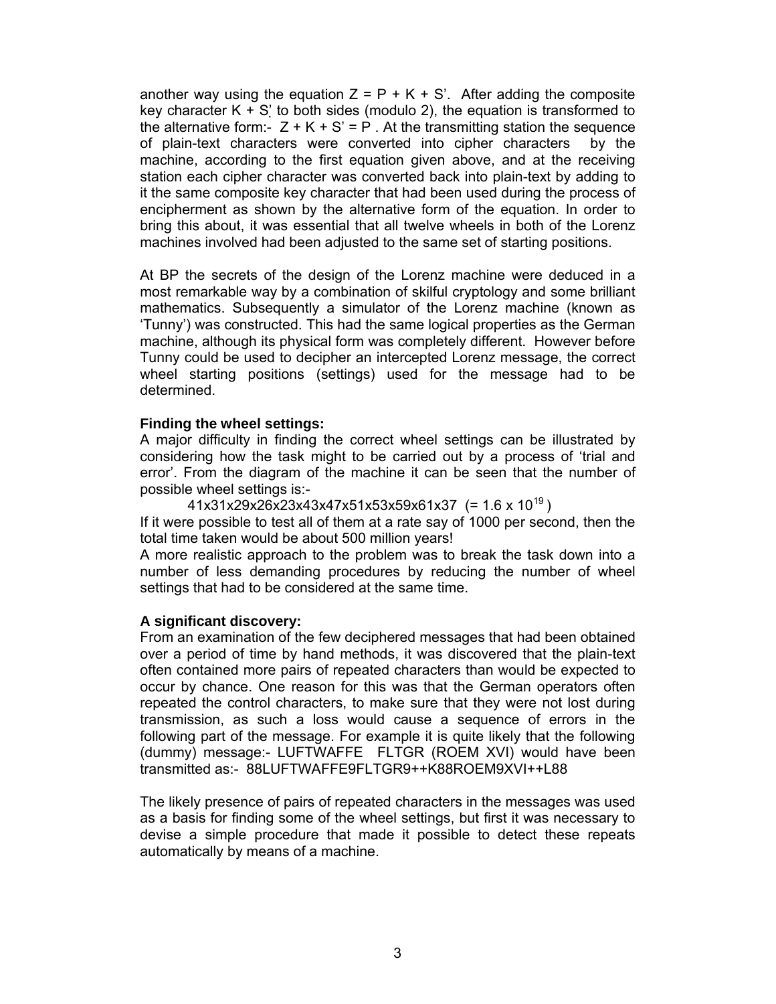another way using the equation  $Z = P + K + S'$ . After adding the composite key character  $K + S'$  to both sides (modulo 2), the equation is transformed to the alternative form:-  $Z + K + S' = P$ . At the transmitting station the sequence of plain-text characters were converted into cipher characters by the machine, according to the first equation given above, and at the receiving station each cipher character was converted back into plain-text by adding to it the same composite key character that had been used during the process of encipherment as shown by the alternative form of the equation. In order to bring this about, it was essential that all twelve wheels in both of the Lorenz machines involved had been adjusted to the same set of starting positions.

At BP the secrets of the design of the Lorenz machine were deduced in a most remarkable way by a combination of skilful cryptology and some brilliant mathematics. Subsequently a simulator of the Lorenz machine (known as ëTunnyí) was constructed. This had the same logical properties as the German machine, although its physical form was completely different. However before Tunny could be used to decipher an intercepted Lorenz message, the correct wheel starting positions (settings) used for the message had to be determined.

# **Finding the wheel settings:**

A major difficulty in finding the correct wheel settings can be illustrated by considering how the task might to be carried out by a process of 'trial and errorí. From the diagram of the machine it can be seen that the number of possible wheel settings is:-

 $41x31x29x26x23x43x47x51x53x59x61x37$  (= 1.6 x 10<sup>19</sup>) If it were possible to test all of them at a rate say of 1000 per second, then the total time taken would be about 500 million years!

A more realistic approach to the problem was to break the task down into a number of less demanding procedures by reducing the number of wheel settings that had to be considered at the same time.

## **A significant discovery:**

From an examination of the few deciphered messages that had been obtained over a period of time by hand methods, it was discovered that the plain-text often contained more pairs of repeated characters than would be expected to occur by chance. One reason for this was that the German operators often repeated the control characters, to make sure that they were not lost during transmission, as such a loss would cause a sequence of errors in the following part of the message. For example it is quite likely that the following (dummy) message:- LUFTWAFFE FLTGR (ROEM XVI) would have been transmitted as:- 88LUFTWAFFE9FLTGR9++K88ROEM9XVI++L88

The likely presence of pairs of repeated characters in the messages was used as a basis for finding some of the wheel settings, but first it was necessary to devise a simple procedure that made it possible to detect these repeats automatically by means of a machine.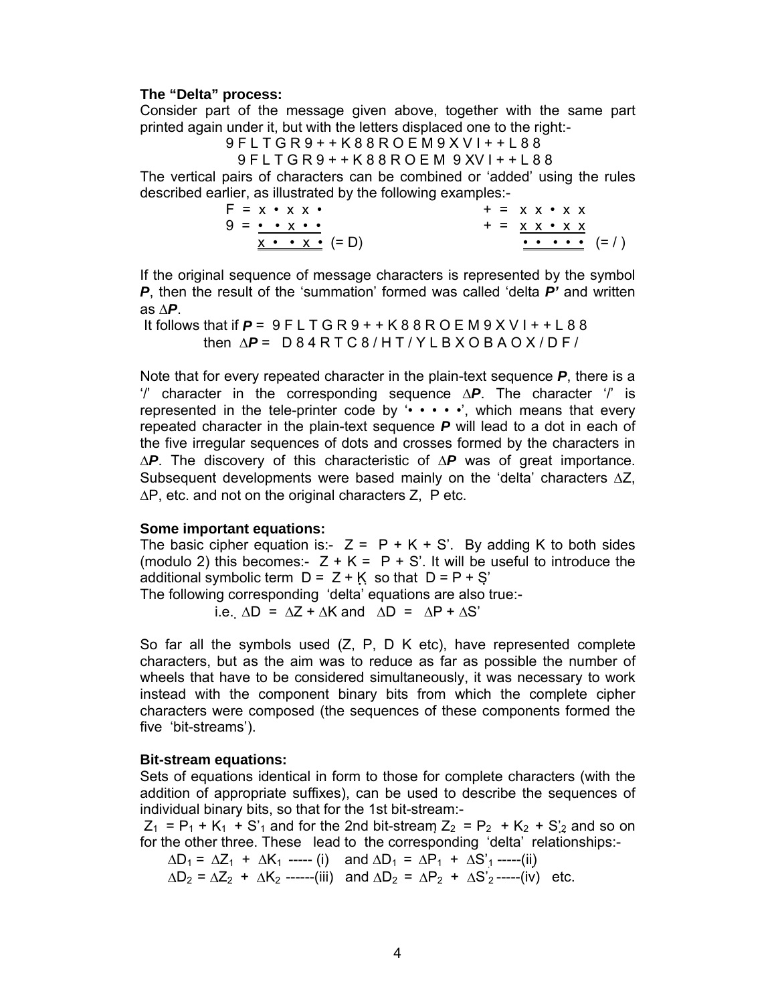### **The "Delta" process:**

Consider part of the message given above, together with the same part printed again under it, but with the letters displaced one to the right:-

9 F L T G R 9 + + K 8 8 R O E M 9 X V I + + L 8 8

9 F L T G R 9 + + K 8 8 R O E M 9 XV I + + L 8 8

The vertical pairs of characters can be combined or 'added' using the rules described earlier, as illustrated by the following examples:-

| $F = x \cdot x \cdot x$                   | $+$ = $\times$ $\times$ $\times$ $\times$ |
|-------------------------------------------|-------------------------------------------|
| $9 = \cdot \cdot x \cdot \cdot$           | $+$ = x x $\cdot$ x x                     |
| $\underline{x \cdot \cdot x \cdot} (= D)$ | $\cdot \cdot \cdot \cdot$ (= / )          |

If the original sequence of message characters is represented by the symbol *P*, then the result of the 'summation' formed was called 'delta *P*' and written as ∆*P*.

 It follows that if *P* = 9 F L T G R 9 + + K 8 8 R O E M 9 X V I + + L 8 8 then ∆*P* = D 8 4 R T C 8 / H T / Y L B X O B A O X / D F /

Note that for every repeated character in the plain-text sequence *P*, there is a ë/í character in the corresponding sequence ∆*P*. The character ë/í is represented in the tele-printer code by  $\cdot \cdot \cdot \cdot \cdot$ , which means that every repeated character in the plain-text sequence *P* will lead to a dot in each of the five irregular sequences of dots and crosses formed by the characters in ∆*P*. The discovery of this characteristic of ∆*P* was of great importance. Subsequent developments were based mainly on the 'delta' characters ∆Z, ∆P, etc. and not on the original characters Z, P etc.

#### **Some important equations:**

The basic cipher equation is:-  $Z = P + K + S'$ . By adding K to both sides (modulo 2) this becomes:-  $Z + K = P + S'$ . It will be useful to introduce the additional symbolic term  $D = Z + K$  so that  $D = P + S'$ 

The following corresponding 'delta' equations are also true:-

i.e.  $\Delta D = \Delta Z + \Delta K$  and  $\Delta D = \Delta P + \Delta S'$ 

So far all the symbols used (Z, P, D K etc), have represented complete characters, but as the aim was to reduce as far as possible the number of wheels that have to be considered simultaneously, it was necessary to work instead with the component binary bits from which the complete cipher characters were composed (the sequences of these components formed the five 'bit-streams').

## **Bit-stream equations:**

Sets of equations identical in form to those for complete characters (with the addition of appropriate suffixes), can be used to describe the sequences of individual binary bits, so that for the 1st bit-stream:-

 $Z_1 = P_1 + K_1 + S'_1$  and for the 2nd bit-stream  $Z_2 = P_2 + K_2 + S'_2$  and so on for the other three. These lead to the corresponding 'delta' relationships:-

 $\Delta D_1 = \Delta Z_1 + \Delta K_1$  ----- (i) and  $\Delta D_1 = \Delta P_1 + \Delta S'_1$  -----(ii)  $\Delta D_2 = \Delta Z_2 + \Delta K_2$  ------(iii) and  $\Delta D_2 = \Delta P_2 + \Delta S'_2$  -----(iv) etc.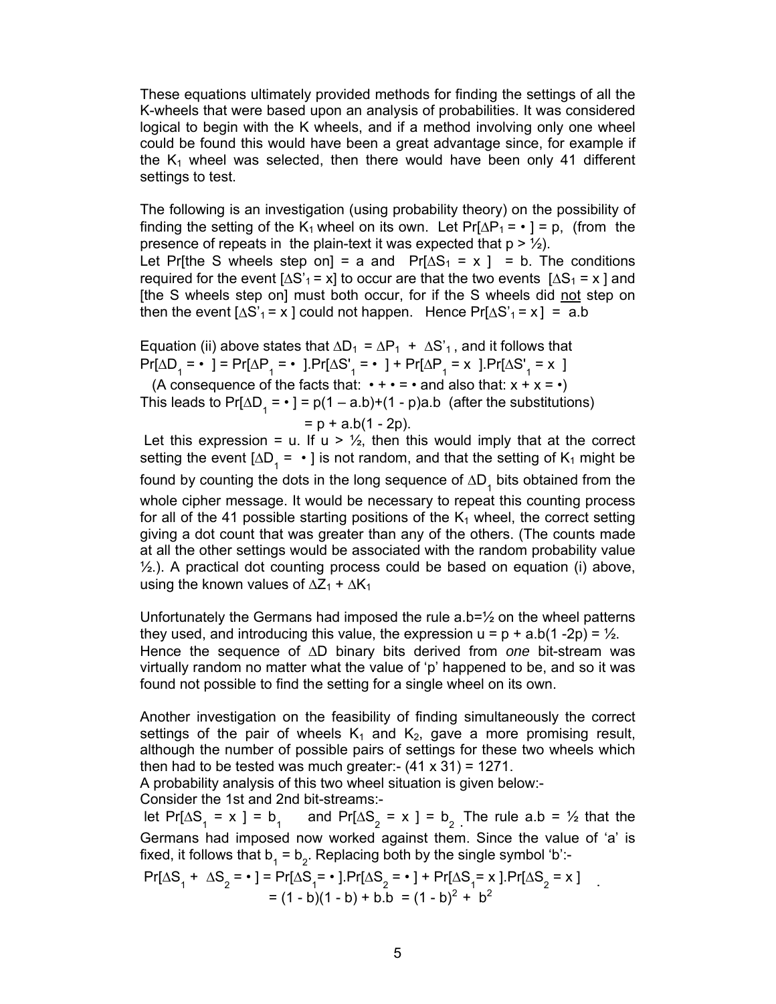These equations ultimately provided methods for finding the settings of all the K-wheels that were based upon an analysis of probabilities. It was considered logical to begin with the K wheels, and if a method involving only one wheel could be found this would have been a great advantage since, for example if the  $K_1$  wheel was selected, then there would have been only 41 different settings to test.

The following is an investigation (using probability theory) on the possibility of finding the setting of the K<sub>1</sub> wheel on its own. Let Pr[ $\Delta P_1 = \cdot$ ] = p, (from the presence of repeats in the plain-text it was expected that  $p > \frac{1}{2}$ .

Let Pr[the S wheels step on] = a and  $Pr[\Delta S_1 = x] = b$ . The conditions required for the event  $[\Delta S^1] = x$ ] to occur are that the two events  $[\Delta S_1 = x]$  and [the S wheels step on] must both occur, for if the S wheels did not step on then the event  $[\Delta S'_{1} = x]$  could not happen. Hence Pr[ $\Delta S'_{1} = x$ ] = a.b

Equation (ii) above states that  $\Delta D_1 = \Delta P_1 + \Delta S_1$ , and it follows that  $Pr[\Delta D_1 = \cdot] = Pr[\Delta P_1 = \cdot] Pr[\Delta S_1' = \cdot] + Pr[\Delta P_1 = x] Pr[\Delta S_1' = x]$ (A consequence of the facts that:  $\cdot \cdot \cdot \cdot = \cdot$  and also that:  $x + x = \cdot$ ) This leads to Pr[ $\Delta D$ <sub>1</sub> = • ] = p(1 – a.b)+(1 - p)a.b (after the substitutions)  $= p + a.b(1 - 2p)$ .

Let this expression = u. If  $u > \frac{1}{2}$ , then this would imply that at the correct setting the event [∆D<sub>1</sub> =  $\cdot$  ] is not random, and that the setting of K<sub>1</sub> might be found by counting the dots in the long sequence of  $\Delta D^1$  bits obtained from the whole cipher message. It would be necessary to repeat this counting process for all of the 41 possible starting positions of the  $K_1$  wheel, the correct setting giving a dot count that was greater than any of the others. (The counts made at all the other settings would be associated with the random probability value  $\frac{1}{2}$ .). A practical dot counting process could be based on equation (i) above, using the known values of  $\Delta Z_1$  +  $\Delta K_1$ 

Unfortunately the Germans had imposed the rule a.b=½ on the wheel patterns they used, and introducing this value, the expression  $u = p + a.b(1 - 2p) = \frac{1}{2}$ . Hence the sequence of ∆D binary bits derived from *one* bit-stream was virtually random no matter what the value of 'p' happened to be, and so it was found not possible to find the setting for a single wheel on its own.

Another investigation on the feasibility of finding simultaneously the correct settings of the pair of wheels  $K_1$  and  $K_2$ , gave a more promising result, although the number of possible pairs of settings for these two wheels which then had to be tested was much greater:-  $(41 \times 31) = 1271$ .

A probability analysis of this two wheel situation is given below:- Consider the 1st and 2nd bit-streams:-

let Pr[ $\Delta S_1 = x$ ] = b<sub>1</sub>  $= x$ ] = b<sub>1</sub> and Pr[ $\Delta S_2 = x$ ] = b<sub>2</sub>. The rule a.b = 1/2 that the Germans had imposed now worked against them. Since the value of 'a' is fixed, it follows that  $b_1 = b_2$ . Replacing both by the single symbol 'b':-

$$
\Pr[\Delta S_1 + \Delta S_2 = \cdot] = \Pr[\Delta S_1 = \cdot].\Pr[\Delta S_2 = \cdot] + \Pr[\Delta S_1 = x].\Pr[\Delta S_2 = x] = (1 - b)(1 - b) + b \cdot b = (1 - b)^2 + b^2
$$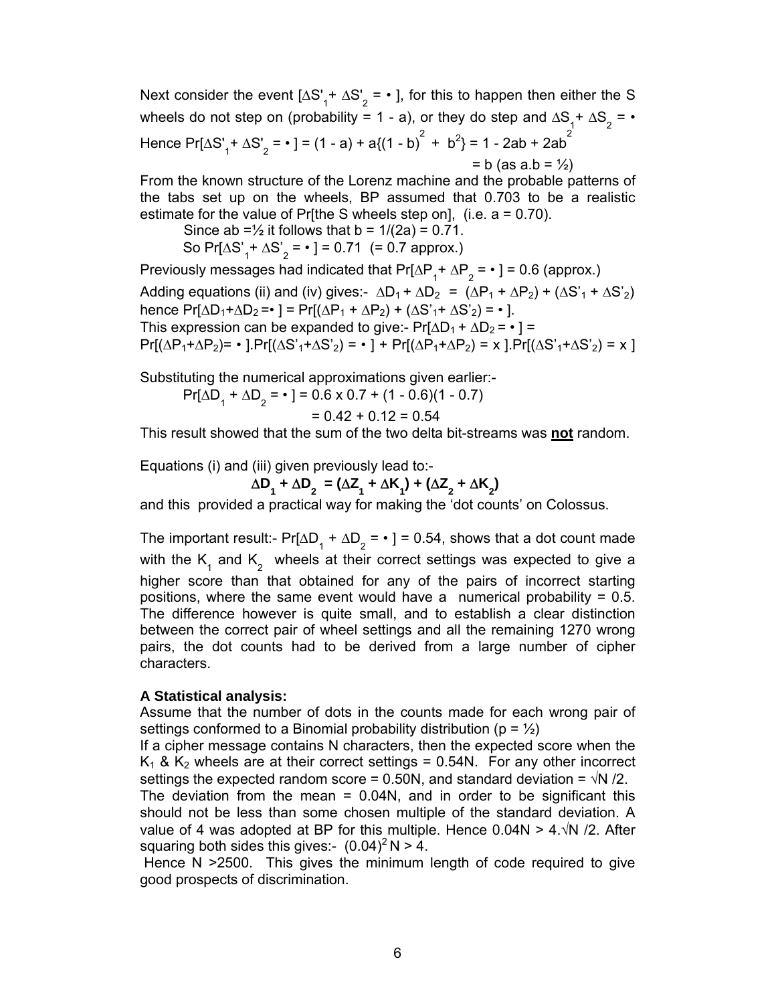Next consider the event  $[ΔS'_{1} + ΔS'_{2} = \cdot ]$ , for this to happen then either the S wheels do not step on (probability = 1 - a), or they do step and  $\Delta S_1^+ \Delta S_2^-$  = • Hence Pr[ $\Delta S'_{1} + \Delta S'_{2} = \cdot$ ] = (1 - a) + a{(1 - b)<sup>2</sup> + b<sup>2</sup>} = 1 - 2ab + 2ab 2  $= b$  (as  $a.b = \frac{1}{2}$ )

From the known structure of the Lorenz machine and the probable patterns of the tabs set up on the wheels, BP assumed that 0.703 to be a realistic estimate for the value of Pr[the S wheels step on], (i.e.  $a = 0.70$ ).

Since ab  $=$ 1/2 it follows that b =  $1/(2a)$  = 0.71. So Pr[ $\Delta S'_{1} + \Delta S'_{2} = \cdot$ ] = 0.71 (= 0.7 approx.)

Previously messages had indicated that  $Pr[\Delta P_1 + \Delta P_2 = \cdot] = 0.6$  (approx.) Adding equations (ii) and (iv) gives:-  $\Delta D_1 + \Delta D_2 = (\Delta P_1 + \Delta P_2) + (\Delta S_1' + \Delta S_2')$ hence  $Pr[\Delta D_1 + \Delta D_2 = \cdot] = Pr[(\Delta P_1 + \Delta P_2) + (\Delta S'_1 + \Delta S'_2) = \cdot].$ This expression can be expanded to give:-  $Pr[\Delta D_1 + \Delta D_2 = \cdot] =$  $Pr[(\Delta P_1 + \Delta P_2) = \cdot ]$ .  $Pr[(\Delta S'_1 + \Delta S'_2) = \cdot ] + Pr[(\Delta P_1 + \Delta P_2) = x ]$ .  $Pr[(\Delta S'_1 + \Delta S'_2) = x ]$ 

Substituting the numerical approximations given earlier:-

 $Pr[\Delta D_1 + \Delta D_2 = \cdot] = 0.6 \times 0.7 + (1 - 0.6)(1 - 0.7)$ 

 $= 0.42 + 0.12 = 0.54$ 

This result showed that the sum of the two delta bit-streams was **not** random.

Equations (i) and (iii) given previously lead to:-

$$
\Delta D_1 + \Delta D_2 = (\Delta Z_1 + \Delta K_1) + (\Delta Z_2 + \Delta K_2)
$$

and this provided a practical way for making the 'dot counts' on Colossus.

The important result:- Pr[∆D<sub>1</sub> + ∆D<sub>2</sub> = • ] = 0.54, shows that a dot count made with the  $\mathsf{K}^{\phantom{\prime}}_1$  and  $\mathsf{K}^{\phantom{\prime}}_2$  wheels at their correct settings was expected to give a higher score than that obtained for any of the pairs of incorrect starting positions, where the same event would have a numerical probability =  $0.5$ . The difference however is quite small, and to establish a clear distinction between the correct pair of wheel settings and all the remaining 1270 wrong pairs, the dot counts had to be derived from a large number of cipher characters.

## **A Statistical analysis:**

Assume that the number of dots in the counts made for each wrong pair of settings conformed to a Binomial probability distribution ( $p = \frac{1}{2}$ )

If a cipher message contains N characters, then the expected score when the  $K_1$  &  $K_2$  wheels are at their correct settings = 0.54N. For any other incorrect settings the expected random score = 0.50N, and standard deviation =  $\sqrt{N}$  /2. The deviation from the mean  $= 0.04N$ , and in order to be significant this should not be less than some chosen multiple of the standard deviation. A value of 4 was adopted at BP for this multiple. Hence  $0.04N > 4.\sqrt{N}$  /2. After squaring both sides this gives:-  $(0.04)^2$  N > 4.

 Hence N >2500. This gives the minimum length of code required to give good prospects of discrimination.